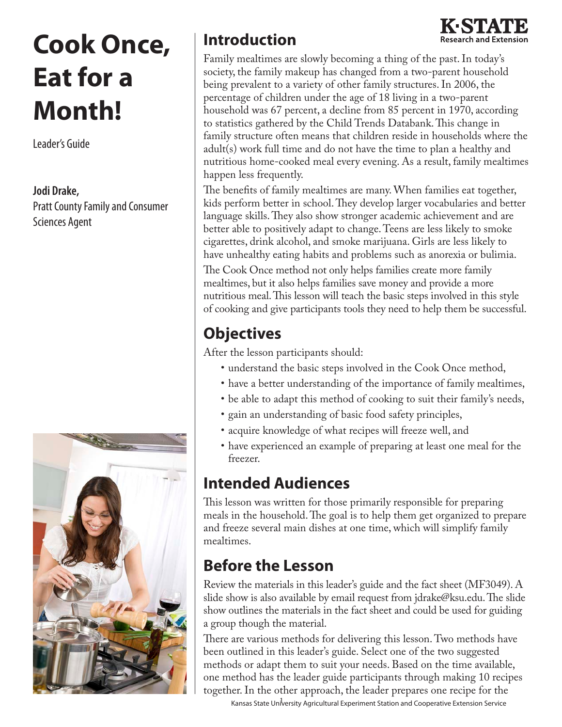# **Cook Once, Eat for a Month!**

Leader's Guide

**Jodi Drake,** Pratt County Family and Consumer Sciences Agent



## **Introduction**



Family mealtimes are slowly becoming a thing of the past. In today's society, the family makeup has changed from a two-parent household being prevalent to a variety of other family structures. In 2006, the percentage of children under the age of 18 living in a two-parent household was 67 percent, a decline from 85 percent in 1970, according to statistics gathered by the Child Trends Databank. This change in family structure often means that children reside in households where the adult(s) work full time and do not have the time to plan a healthy and nutritious home-cooked meal every evening. As a result, family mealtimes happen less frequently.

The benefits of family mealtimes are many. When families eat together, kids perform better in school. They develop larger vocabularies and better language skills. They also show stronger academic achievement and are better able to positively adapt to change. Teens are less likely to smoke cigarettes, drink alcohol, and smoke marijuana. Girls are less likely to have unhealthy eating habits and problems such as anorexia or bulimia. The Cook Once method not only helps families create more family mealtimes, but it also helps families save money and provide a more nutritious meal. This lesson will teach the basic steps involved in this style of cooking and give participants tools they need to help them be successful.

# **Objectives**

After the lesson participants should:

- understand the basic steps involved in the Cook Once method,
- have a better understanding of the importance of family mealtimes,
- be able to adapt this method of cooking to suit their family's needs,
- gain an understanding of basic food safety principles,
- • acquire knowledge of what recipes will freeze well, and
- have experienced an example of preparing at least one meal for the freezer.

# **Intended Audiences**

This lesson was written for those primarily responsible for preparing meals in the household.The goal is to help them get organized to prepare and freeze several main dishes at one time, which will simplify family mealtimes.

# **Before the Lesson**

Review the materials in this leader's guide and the fact sheet (MF3049). A slide show is also available by email request from jdrake@ksu.edu. The slide show outlines the materials in the fact sheet and could be used for guiding a group though the material.

There are various methods for delivering this lesson. Two methods have been outlined in this leader's guide. Select one of the two suggested methods or adapt them to suit your needs. Based on the time available, one method has the leader guide participants through making 10 recipes together. In the other approach, the leader prepares one recipe for the

Kansas State University Agricultural Experiment Station and Cooperative Extension Service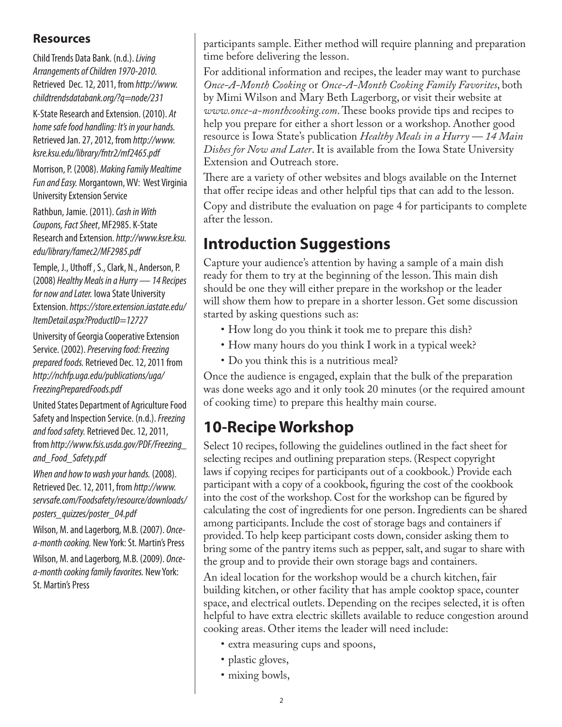#### **Resources**

Child Trends Data Bank. (n.d.). *Living Arrangements of Children 1970-2010.* Retrieved Dec. 12, 2011, from *http://www. childtrendsdatabank.org/?q=node/231*

K-State Research and Extension. (2010). *At home safe food handling: It's in your hands.* Retrieved Jan. 27, 2012, from *http://www. ksre.ksu.edu/library/fntr2/mf2465.pdf* 

Morrison, P. (2008). *Making Family Mealtime Fun and Easy.* Morgantown, WV: West Virginia University Extension Service

Rathbun, Jamie. (2011). *Cash in With Coupons, Fact Sheet*, MF2985. K-State Research and Extension. *http://www.ksre.ksu. edu/library/famec2/MF2985.pdf*

Temple, J., Uthoff , S., Clark, N., Anderson, P. (2008) *Healthy Meals in a Hurry — 14 Recipes for now and Later.* Iowa State University Extension. *https://store.extension.iastate.edu/ ItemDetail.aspx?ProductID=12727*

University of Georgia Cooperative Extension Service. (2002). *Preserving food: Freezing prepared foods.* Retrieved Dec. 12, 2011 from *http://nchfp.uga.edu/publications/uga/ FreezingPreparedFoods.pdf*

United States Department of Agriculture Food Safety and Inspection Service. (n.d.). *Freezing and food safety.* Retrieved Dec. 12, 2011, from *http://www.fsis.usda.gov/PDF/Freezing\_ and\_Food\_Safety.pdf*

*When and how to wash your hands.* (2008). Retrieved Dec. 12, 2011, from *http://www. servsafe.com/Foodsafety/resource/downloads/ posters\_quizzes/poster\_04.pdf*

Wilson, M. and Lagerborg, M.B. (2007). *Oncea-month cooking.* New York: St. Martin's Press Wilson, M. and Lagerborg, M.B. (2009). *Oncea-month cooking family favorites.* New York: St. Martin's Press

participants sample. Either method will require planning and preparation time before delivering the lesson.

For additional information and recipes, the leader may want to purchase *Once-A-Month Cooking* or *Once-A-Month Cooking Family Favorites*, both by Mimi Wilson and Mary Beth Lagerborg, or visit their website at *www.once-a-monthcooking.com*. These books provide tips and recipes to help you prepare for either a short lesson or a workshop. Another good resource is Iowa State's publication *Healthy Meals in a Hurry — 14 Main Dishes for Now and Later*. It is available from the Iowa State University Extension and Outreach store.

There are a variety of other websites and blogs available on the Internet that offer recipe ideas and other helpful tips that can add to the lesson.

Copy and distribute the evaluation on page 4 for participants to complete after the lesson.

## **Introduction Suggestions**

Capture your audience's attention by having a sample of a main dish ready for them to try at the beginning of the lesson. This main dish should be one they will either prepare in the workshop or the leader will show them how to prepare in a shorter lesson. Get some discussion started by asking questions such as:

- How long do you think it took me to prepare this dish?
- How many hours do you think I work in a typical week?
- Do you think this is a nutritious meal?

Once the audience is engaged, explain that the bulk of the preparation was done weeks ago and it only took 20 minutes (or the required amount of cooking time) to prepare this healthy main course.

# **10-Recipe Workshop**

Select 10 recipes, following the guidelines outlined in the fact sheet for selecting recipes and outlining preparation steps. (Respect copyright laws if copying recipes for participants out of a cookbook.) Provide each participant with a copy of a cookbook, figuring the cost of the cookbook into the cost of the workshop. Cost for the workshop can be figured by calculating the cost of ingredients for one person. Ingredients can be shared among participants. Include the cost of storage bags and containers if provided. To help keep participant costs down, consider asking them to bring some of the pantry items such as pepper, salt, and sugar to share with the group and to provide their own storage bags and containers.

An ideal location for the workshop would be a church kitchen, fair building kitchen, or other facility that has ample cooktop space, counter space, and electrical outlets. Depending on the recipes selected, it is often helpful to have extra electric skillets available to reduce congestion around cooking areas. Other items the leader will need include:

- extra measuring cups and spoons,
- plastic gloves,
- mixing bowls,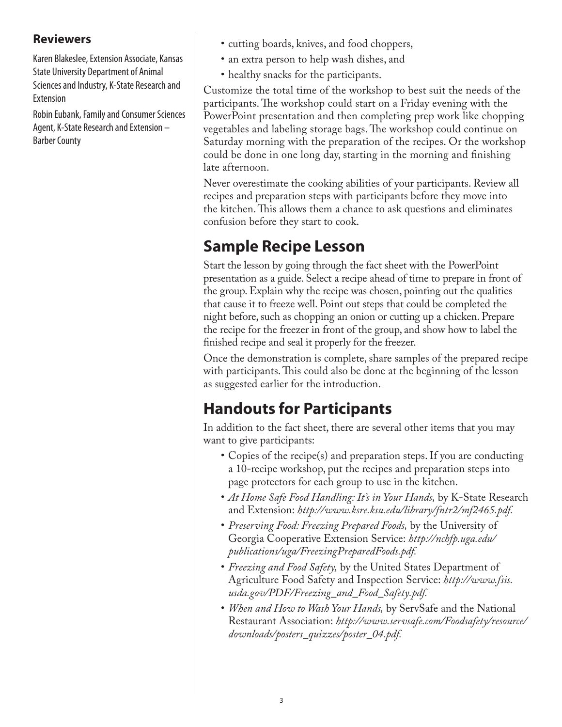#### **Reviewers**

Karen Blakeslee, Extension Associate, Kansas State University Department of Animal Sciences and Industry, K-State Research and Extension

Robin Eubank, Family and Consumer Sciences Agent, K-State Research and Extension – Barber County

- cutting boards, knives, and food choppers,
- an extra person to help wash dishes, and
- healthy snacks for the participants.

Customize the total time of the workshop to best suit the needs of the participants. The workshop could start on a Friday evening with the PowerPoint presentation and then completing prep work like chopping vegetables and labeling storage bags. The workshop could continue on Saturday morning with the preparation of the recipes. Or the workshop could be done in one long day, starting in the morning and finishing late afternoon.

Never overestimate the cooking abilities of your participants. Review all recipes and preparation steps with participants before they move into the kitchen. This allows them a chance to ask questions and eliminates confusion before they start to cook.

# **Sample Recipe Lesson**

Start the lesson by going through the fact sheet with the PowerPoint presentation as a guide. Select a recipe ahead of time to prepare in front of the group. Explain why the recipe was chosen, pointing out the qualities that cause it to freeze well. Point out steps that could be completed the night before, such as chopping an onion or cutting up a chicken. Prepare the recipe for the freezer in front of the group, and show how to label the finished recipe and seal it properly for the freezer.

Once the demonstration is complete, share samples of the prepared recipe with participants. This could also be done at the beginning of the lesson as suggested earlier for the introduction.

# **Handouts for Participants**

In addition to the fact sheet, there are several other items that you may want to give participants:

- Copies of the recipe(s) and preparation steps. If you are conducting a 10-recipe workshop, put the recipes and preparation steps into page protectors for each group to use in the kitchen.
- *At Home Safe Food Handling: It's in Your Hands*, by K-State Research and Extension: *http://www.ksre.ksu.edu/library/fntr2/mf2465.pdf.*
- • *Preserving Food: Freezing Prepared Foods,* by the University of Georgia Cooperative Extension Service: *http://nchfp.uga.edu/ publications/uga/FreezingPreparedFoods.pdf.*
- *Freezing and Food Safety*, by the United States Department of Agriculture Food Safety and Inspection Service: *http://www.fsis. usda.gov/PDF/Freezing\_and\_Food\_Safety.pdf.*
- *When and How to Wash Your Hands*, by ServSafe and the National Restaurant Association: *http://www.servsafe.com/Foodsafety/resource/ downloads/posters\_quizzes/poster\_04.pdf.*